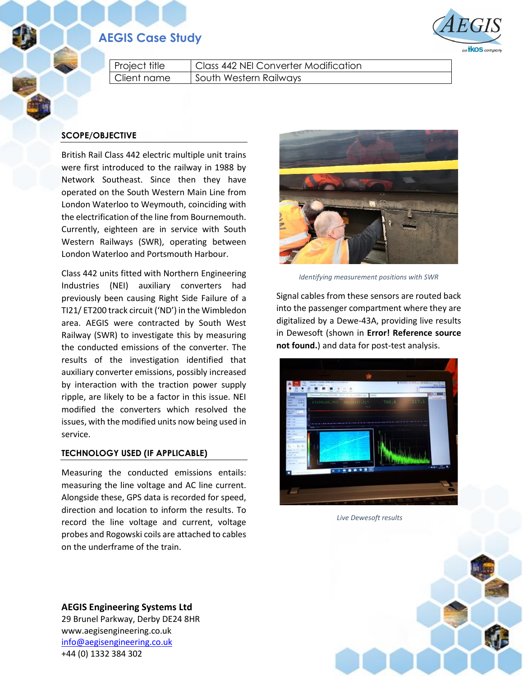## **AEGIS Case Study**



| Project title | Class 442 NEI Converter Modification |
|---------------|--------------------------------------|
| Client name   | South Western Railways               |

### **SCOPE/OBJECTIVE**

British Rail Class 442 electric multiple unit trains were first introduced to the railway in 1988 by Network Southeast. Since then they have operated on the South Western Main Line from London Waterloo to Weymouth, coinciding with the electrification of the line from Bournemouth. Currently, eighteen are in service with South Western Railways (SWR), operating between London Waterloo and Portsmouth Harbour.

Class 442 units fitted with Northern Engineering Industries (NEI) auxiliary converters had previously been causing Right Side Failure of a TI21/ ET200 track circuit ('ND') in the Wimbledon area. AEGIS were contracted by South West Railway (SWR) to investigate this by measuring the conducted emissions of the converter. The results of the investigation identified that auxiliary converter emissions, possibly increased by interaction with the traction power supply ripple, are likely to be a factor in this issue. NEI modified the converters which resolved the issues, with the modified units now being used in service.

### **TECHNOLOGY USED (IF APPLICABLE)**

Measuring the conducted emissions entails: measuring the line voltage and AC line current. Alongside these, GPS data is recorded for speed, direction and location to inform the results. To record the line voltage and current, voltage probes and Rogowski coils are attached to cables on the underframe of the train.

**AEGIS Engineering Systems Ltd** 29 Brunel Parkway, Derby DE24 8HR www.aegisengineering.co.uk [info@aegisengineering.co.uk](mailto:info@aegisengineering.co.uk) +44 (0) 1332 384 302



*Identifying measurement positions with SWR*

Signal cables from these sensors are routed back into the passenger compartment where they are digitalized by a Dewe-43A, providing live results in Dewesoft (shown in **Error! Reference source not found.**) and data for post-test analysis.



*Live Dewesoft results*